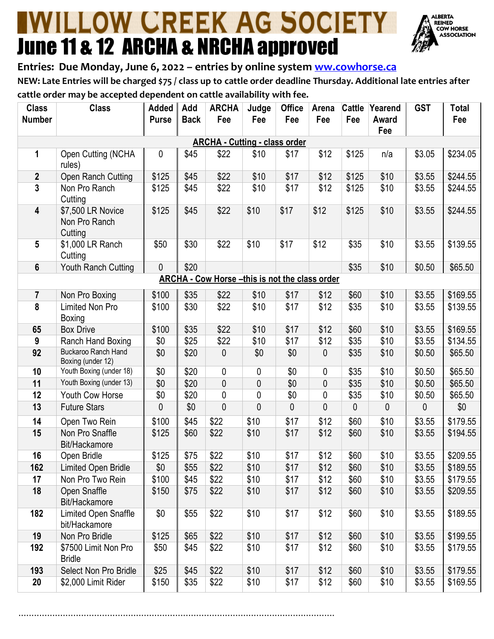## **IWILLOW CREEK AG SOCIETY** June 11 & 12 ARCHA & NRCHA approved



**Entries: Due Monday, June 6, 2022 – entries by online system [ww.cowhorse.ca](http://www.cowhorse.ca/) NEW: Late Entries will be charged \$75 / class up to cattle order deadline Thursday. Additional late entries after cattle order may be accepted dependent on cattle availability with fee.**

| <b>Class</b><br><b>Number</b>                         | <b>Class</b>                                  | Added<br><b>Purse</b> | Add<br><b>Back</b> | <b>ARCHA</b><br>Fee | Judge<br>Fee   | <b>Office</b><br>Fee | Arena<br>Fee | <b>Cattle</b><br>Fee | Yearend<br>Award<br>Fee | <b>GST</b> | <b>Total</b><br>Fee |
|-------------------------------------------------------|-----------------------------------------------|-----------------------|--------------------|---------------------|----------------|----------------------|--------------|----------------------|-------------------------|------------|---------------------|
| <b>ARCHA - Cutting - class order</b>                  |                                               |                       |                    |                     |                |                      |              |                      |                         |            |                     |
| 1                                                     | Open Cutting (NCHA<br>rules)                  | 0                     | \$45               | \$22                | \$10           | \$17                 | \$12         | \$125                | n/a                     | \$3.05     | \$234.05            |
| $\boldsymbol{2}$                                      | Open Ranch Cutting                            | \$125                 | \$45               | \$22                | \$10           | \$17                 | \$12         | \$125                | \$10                    | \$3.55     | \$244.55            |
| 3                                                     | Non Pro Ranch<br>Cutting                      | \$125                 | \$45               | \$22                | \$10           | \$17                 | \$12         | \$125                | \$10                    | \$3.55     | \$244.55            |
| $\overline{\mathbf{4}}$                               | \$7,500 LR Novice<br>Non Pro Ranch<br>Cutting | \$125                 | \$45               | \$22                | \$10           | \$17                 | \$12         | \$125                | \$10                    | \$3.55     | \$244.55            |
| 5                                                     | \$1,000 LR Ranch<br>Cutting                   | \$50                  | \$30               | \$22                | \$10           | \$17                 | \$12         | \$35                 | \$10                    | \$3.55     | \$139.55            |
| 6                                                     | Youth Ranch Cutting                           | $\mathbf 0$           | \$20               |                     |                |                      |              | \$35                 | \$10                    | \$0.50     | \$65.50             |
| <b>ARCHA - Cow Horse -this is not the class order</b> |                                               |                       |                    |                     |                |                      |              |                      |                         |            |                     |
| $\overline{7}$                                        | Non Pro Boxing                                | \$100                 | \$35               | \$22                | \$10           | \$17                 | \$12         | \$60                 | \$10                    | \$3.55     | \$169.55            |
| 8                                                     | Limited Non Pro<br>Boxing                     | \$100                 | \$30               | \$22                | \$10           | \$17                 | \$12         | \$35                 | \$10                    | \$3.55     | \$139.55            |
| 65                                                    | <b>Box Drive</b>                              | \$100                 | \$35               | \$22                | \$10           | \$17                 | \$12         | \$60                 | \$10                    | \$3.55     | \$169.55            |
| 9                                                     | Ranch Hand Boxing                             | \$0                   | \$25               | \$22                | \$10           | \$17                 | \$12         | \$35                 | \$10                    | \$3.55     | \$134.55            |
| 92                                                    | Buckaroo Ranch Hand<br>Boxing (under 12)      | \$0                   | \$20               | 0                   | \$0            | \$0                  | 0            | \$35                 | \$10                    | \$0.50     | \$65.50             |
| 10                                                    | Youth Boxing (under 18)                       | \$0                   | \$20               | 0                   | 0              | \$0                  | $\mathbf 0$  | \$35                 | \$10                    | \$0.50     | \$65.50             |
| 11                                                    | Youth Boxing (under 13)                       | \$0                   | \$20               | $\mathbf 0$         | 0              | \$0                  | $\mathbf 0$  | \$35                 | \$10                    | \$0.50     | \$65.50             |
| 12                                                    | Youth Cow Horse                               | \$0                   | \$20               | $\mathbf 0$         | 0              | \$0                  | 0            | \$35                 | \$10                    | \$0.50     | \$65.50             |
| 13                                                    | <b>Future Stars</b>                           | 0                     | \$0                | $\overline{0}$      | $\overline{0}$ | 0                    | $\mathbf{0}$ | 0                    | 0                       | 0          | \$0                 |
| 14                                                    | Open Two Rein                                 | \$100                 | \$45               | \$22                | \$10           | \$17                 | \$12         | \$60                 | \$10                    | \$3.55     | \$179.55            |
| 15                                                    | Non Pro Snaffle<br>Bit/Hackamore              | \$125                 | \$60               | \$22                | \$10           | \$17                 | \$12         | \$60                 | \$10                    | \$3.55     | \$194.55            |
| 16                                                    | Open Bridle                                   | \$125                 | \$75               | \$22                | \$10           | \$17                 | \$12         | \$60                 | \$10                    | \$3.55     | \$209.55            |
| 162                                                   | Limited Open Bridle                           | \$0                   | \$55               | \$22                | \$10           | \$17                 | \$12         | \$60                 | \$10                    | \$3.55     | \$189.55            |
| 17                                                    | Non Pro Two Rein                              | \$100                 | \$45               | \$22                | \$10           | \$17                 | \$12         | \$60                 | \$10                    | \$3.55     | \$179.55            |
| 18                                                    | Open Snaffle<br>Bit/Hackamore                 | \$150                 | \$75               | \$22                | \$10           | \$17                 | \$12         | \$60                 | \$10                    | \$3.55     | \$209.55            |
| 182                                                   | Limited Open Snaffle<br>bit/Hackamore         | \$0                   | \$55               | \$22                | \$10           | \$17                 | \$12         | \$60                 | \$10                    | \$3.55     | \$189.55            |
| 19                                                    | Non Pro Bridle                                | \$125                 | \$65               | \$22                | \$10           | \$17                 | \$12         | \$60                 | \$10                    | \$3.55     | \$199.55            |
| 192                                                   | \$7500 Limit Non Pro<br><b>Bridle</b>         | \$50                  | \$45               | \$22                | \$10           | \$17                 | \$12         | \$60                 | \$10                    | \$3.55     | \$179.55            |
| 193                                                   | Select Non Pro Bridle                         | \$25                  | \$45               | \$22                | \$10           | \$17                 | \$12         | \$60                 | \$10                    | \$3.55     | \$179.55            |
| 20                                                    | \$2,000 Limit Rider                           | \$150                 | \$35               | \$22                | \$10           | \$17                 | \$12         | \$60                 | \$10                    | \$3.55     | \$169.55            |

.........................................................................................................................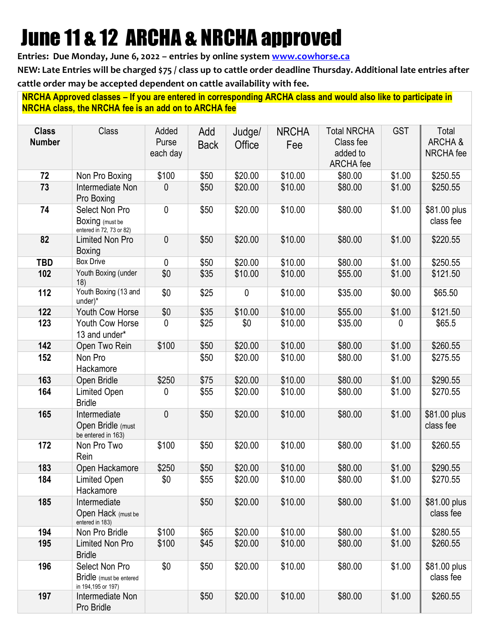# June 11 & 12 ARCHA & NRCHA approved

**Entries: Due Monday, June 6, 2022 – entries by online system [www.cowhorse.ca](http://www.cowhorse.ca/)**

**NEW: Late Entries will be charged \$75 / class up to cattle order deadline Thursday. Additional late entries after cattle order may be accepted dependent on cattle availability with fee.**

**NRCHA Approved classes – If you are entered in corresponding ARCHA class and would also like to participate in NRCHA class, the NRCHA fee is an add on to ARCHA fee**

| <b>Class</b><br><b>Number</b> | <b>Class</b>                                                    | Added<br>Purse<br>each day | Add<br><b>Back</b> | Judge/<br>Office | <b>NRCHA</b><br>Fee | <b>Total NRCHA</b><br>Class fee<br>added to<br><b>ARCHA</b> fee | <b>GST</b> | Total<br>ARCHA&<br>NRCHA fee |
|-------------------------------|-----------------------------------------------------------------|----------------------------|--------------------|------------------|---------------------|-----------------------------------------------------------------|------------|------------------------------|
| 72                            | Non Pro Boxing                                                  | \$100                      | \$50               | \$20.00          | \$10.00             | \$80.00                                                         | \$1.00     | \$250.55                     |
| 73                            | Intermediate Non<br>Pro Boxing                                  | 0                          | \$50               | \$20.00          | \$10.00             | \$80.00                                                         | \$1.00     | \$250.55                     |
| 74                            | Select Non Pro<br>Boxing (must be<br>entered in 72, 73 or 82)   | $\mathbf 0$                | \$50               | \$20.00          | \$10.00             | \$80.00                                                         | \$1.00     | \$81.00 plus<br>class fee    |
| 82                            | <b>Limited Non Pro</b><br>Boxing                                | $\mathbf 0$                | \$50               | \$20.00          | \$10.00             | \$80.00                                                         | \$1.00     | \$220.55                     |
| <b>TBD</b>                    | <b>Box Drive</b>                                                | 0                          | \$50               | \$20.00          | \$10.00             | \$80.00                                                         | \$1.00     | \$250.55                     |
| 102                           | Youth Boxing (under<br>18)                                      | \$0                        | \$35               | \$10.00          | \$10.00             | \$55.00                                                         | \$1.00     | \$121.50                     |
| 112                           | Youth Boxing (13 and<br>under)*                                 | \$0                        | \$25               | 0                | \$10.00             | \$35.00                                                         | \$0.00     | \$65.50                      |
| 122                           | Youth Cow Horse                                                 | \$0                        | \$35               | \$10.00          | \$10.00             | \$55.00                                                         | \$1.00     | \$121.50                     |
| 123                           | Youth Cow Horse<br>13 and under*                                | 0                          | \$25               | \$0              | \$10.00             | \$35.00                                                         | 0          | \$65.5                       |
| 142                           | Open Two Rein                                                   | \$100                      | \$50               | \$20.00          | \$10.00             | \$80.00                                                         | \$1.00     | \$260.55                     |
| 152                           | Non Pro<br>Hackamore                                            |                            | \$50               | \$20.00          | \$10.00             | \$80.00                                                         | \$1.00     | \$275.55                     |
| 163                           | Open Bridle                                                     | \$250                      | \$75               | \$20.00          | \$10.00             | \$80.00                                                         | \$1.00     | \$290.55                     |
| 164                           | <b>Limited Open</b><br><b>Bridle</b>                            | 0                          | \$55               | \$20.00          | \$10.00             | \$80.00                                                         | \$1.00     | \$270.55                     |
| 165                           | Intermediate<br>Open Bridle (must<br>be entered in 163)         | $\overline{0}$             | \$50               | \$20.00          | \$10.00             | \$80.00                                                         | \$1.00     | \$81.00 plus<br>class fee    |
| 172                           | Non Pro Two<br>Rein                                             | \$100                      | \$50               | \$20.00          | \$10.00             | \$80.00                                                         | \$1.00     | \$260.55                     |
| 183                           | Open Hackamore                                                  | \$250                      | \$50               | \$20.00          | \$10.00             | \$80.00                                                         | \$1.00     | \$290.55                     |
| 184                           | Limited Open<br>Hackamore                                       | \$0                        | \$55               | \$20.00          | \$10.00             | \$80.00                                                         | \$1.00     | \$270.55                     |
| 185                           | Intermediate<br>Open Hack (must be<br>entered in 183)           |                            | \$50               | \$20.00          | \$10.00             | \$80.00                                                         | \$1.00     | \$81.00 plus<br>class fee    |
| 194                           | Non Pro Bridle                                                  | \$100                      | \$65               | \$20.00          | \$10.00             | \$80.00                                                         | \$1.00     | \$280.55                     |
| 195                           | Limited Non Pro<br><b>Bridle</b>                                | \$100                      | \$45               | \$20.00          | \$10.00             | \$80.00                                                         | \$1.00     | \$260.55                     |
| 196                           | Select Non Pro<br>Bridle (must be entered<br>in 194,195 or 197) | \$0                        | \$50               | \$20.00          | \$10.00             | \$80.00                                                         | \$1.00     | \$81.00 plus<br>class fee    |
| 197                           | Intermediate Non<br>Pro Bridle                                  |                            | \$50               | \$20.00          | \$10.00             | \$80.00                                                         | \$1.00     | \$260.55                     |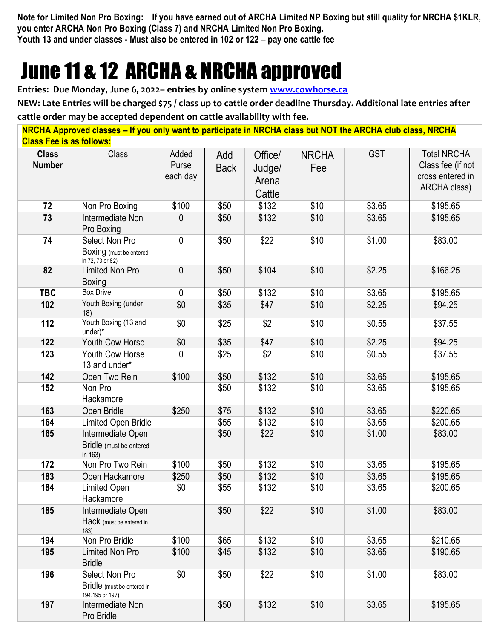**Note for Limited Non Pro Boxing: If you have earned out of ARCHA Limited NP Boxing but still quality for NRCHA \$1KLR, you enter ARCHA Non Pro Boxing (Class 7) and NRCHA Limited Non Pro Boxing. Youth 13 and under classes - Must also be entered in 102 or 122 – pay one cattle fee**

## June 11 & 12 ARCHA & NRCHA approved

**Entries: Due Monday, June 6, 2022– entries by online system [www.cowhorse.ca](http://www.cowhorse.ca/)**

**NEW: Late Entries will be charged \$75 / class up to cattle order deadline Thursday. Additional late entries after cattle order may be accepted dependent on cattle availability with fee.**

| <b>Class Fee is as follows:</b> | NRCHA Approved classes – If you only want to participate in NRCHA class but NOT the ARCHA club class, NRCHA |                            |                    |                                      |                     |            |                                                                             |
|---------------------------------|-------------------------------------------------------------------------------------------------------------|----------------------------|--------------------|--------------------------------------|---------------------|------------|-----------------------------------------------------------------------------|
| <b>Class</b><br><b>Number</b>   | Class                                                                                                       | Added<br>Purse<br>each day | Add<br><b>Back</b> | Office/<br>Judge/<br>Arena<br>Cattle | <b>NRCHA</b><br>Fee | <b>GST</b> | <b>Total NRCHA</b><br>Class fee (if not<br>cross entered in<br>ARCHA class) |
| 72                              | Non Pro Boxing                                                                                              | \$100                      | \$50               | \$132                                | \$10                | \$3.65     | \$195.65                                                                    |
| 73                              | Intermediate Non<br>Pro Boxing                                                                              | 0                          | \$50               | \$132                                | \$10                | \$3.65     | \$195.65                                                                    |
| 74                              | Select Non Pro<br>Boxing (must be entered<br>in 72, 73 or 82)                                               | 0                          | \$50               | \$22                                 | \$10                | \$1.00     | \$83.00                                                                     |
| 82                              | <b>Limited Non Pro</b><br>Boxing                                                                            | 0                          | \$50               | \$104                                | \$10                | \$2.25     | \$166.25                                                                    |
| <b>TBC</b>                      | <b>Box Drive</b>                                                                                            | 0                          | \$50               | \$132                                | \$10                | \$3.65     | \$195.65                                                                    |
| 102                             | Youth Boxing (under<br>18)                                                                                  | \$0                        | \$35               | \$47                                 | \$10                | \$2.25     | \$94.25                                                                     |
| 112                             | Youth Boxing (13 and<br>$under)$ *                                                                          | \$0                        | \$25               | \$2                                  | \$10                | \$0.55     | \$37.55                                                                     |
| 122                             | Youth Cow Horse                                                                                             | \$0                        | \$35               | \$47                                 | \$10                | \$2.25     | \$94.25                                                                     |
| 123                             | Youth Cow Horse<br>13 and under*                                                                            | 0                          | \$25               | \$2                                  | \$10                | \$0.55     | \$37.55                                                                     |
| 142                             | Open Two Rein                                                                                               | \$100                      | \$50               | \$132                                | \$10                | \$3.65     | \$195.65                                                                    |
| 152                             | Non Pro<br>Hackamore                                                                                        |                            | \$50               | \$132                                | \$10                | \$3.65     | \$195.65                                                                    |
| 163                             | Open Bridle                                                                                                 | \$250                      | \$75               | \$132                                | \$10                | \$3.65     | \$220.65                                                                    |
| 164                             | Limited Open Bridle                                                                                         |                            | \$55               | \$132                                | \$10                | \$3.65     | \$200.65                                                                    |
| 165                             | Intermediate Open<br>Bridle (must be entered<br>in 163)                                                     |                            | \$50               | \$22                                 | \$10                | \$1.00     | \$83.00                                                                     |
| 172                             | Non Pro Two Rein                                                                                            | \$100                      | \$50               | \$132                                | \$10                | \$3.65     | \$195.65                                                                    |
| 183                             | Open Hackamore                                                                                              | \$250                      | \$50               | \$132                                | \$10                | \$3.65     | \$195.65                                                                    |
| 184                             | Limited Open<br>Hackamore                                                                                   | \$0                        | \$55               | \$132                                | \$10                | \$3.65     | \$200.65                                                                    |
| 185                             | Intermediate Open<br>Hack (must be entered in<br>183)                                                       |                            | \$50               | \$22                                 | \$10                | \$1.00     | \$83.00                                                                     |
| 194                             | Non Pro Bridle                                                                                              | \$100                      | \$65               | \$132                                | \$10                | \$3.65     | \$210.65                                                                    |
| 195                             | <b>Limited Non Pro</b><br><b>Bridle</b>                                                                     | \$100                      | \$45               | \$132                                | \$10                | \$3.65     | \$190.65                                                                    |
| 196                             | Select Non Pro<br>Bridle (must be entered in<br>194,195 or 197)                                             | \$0                        | \$50               | \$22                                 | \$10                | \$1.00     | \$83.00                                                                     |
| 197                             | Intermediate Non<br>Pro Bridle                                                                              |                            | \$50               | \$132                                | \$10                | \$3.65     | \$195.65                                                                    |